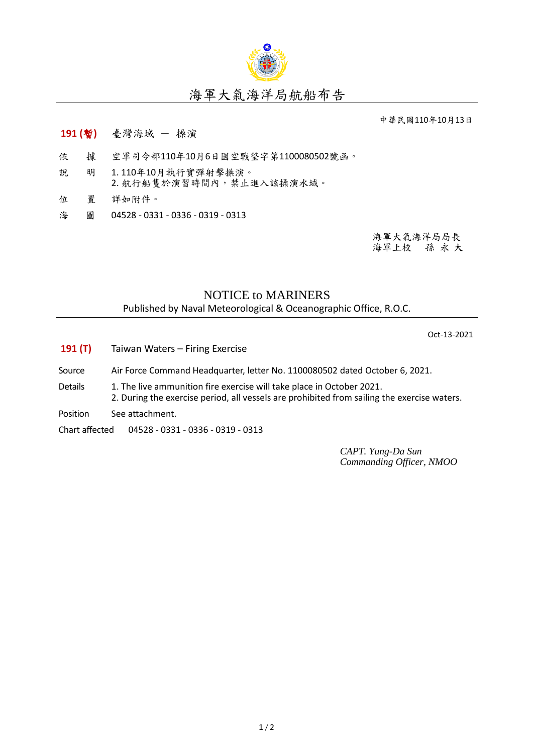

## 海軍大氣海洋局航船布告

中華民國110年10月13日

- **191 (**暫**)** 臺灣海域 操演
- 依 據 空軍司令部110年10月6日國空戰整字第1100080502號函。
- 說 明 1. 110年10月執行實彈射擊操演。 2. 航行船隻於演習時間內,禁止進入該操演水域。
- 位 置 詳如附件。
- 海 圖 04528 0331 0336 0319 0313

海軍大氣海洋局局長 海軍上校 孫 永 大

## NOTICE to MARINERS

Published by Naval Meteorological & Oceanographic Office, R.O.C.

Oct-13-2021

- **191 (T)** Taiwan Waters Firing Exercise
- Source Air Force Command Headquarter, letter No. 1100080502 dated October 6, 2021.
- Details 1. The live ammunition fire exercise will take place in October 2021. 2. During the exercise period, all vessels are prohibited from sailing the exercise waters.
- Position See attachment.
- Chart affected 04528 0331 0336 0319 0313

*CAPT. Yung-Da Sun Commanding Officer, NMOO*